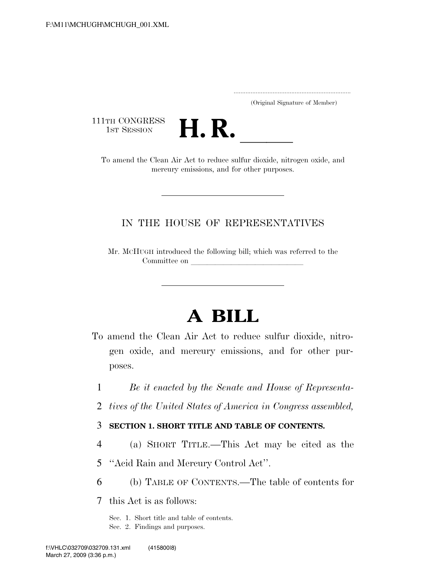..................................................................... (Original Signature of Member)

111TH CONGRESS<br>1st Session



1ST SESSION **H. R. H. R. I. H.** To amend the Clean Air Act to reduce sulfur dioxide, nitrogen oxide, and mercury emissions, and for other purposes.

### IN THE HOUSE OF REPRESENTATIVES

Mr. MCHUGH introduced the following bill; which was referred to the Committee on

# **A BILL**

- To amend the Clean Air Act to reduce sulfur dioxide, nitrogen oxide, and mercury emissions, and for other purposes.
	- 1 *Be it enacted by the Senate and House of Representa-*
	- 2 *tives of the United States of America in Congress assembled,*

### 3 **SECTION 1. SHORT TITLE AND TABLE OF CONTENTS.**

- 4 (a) SHORT TITLE.—This Act may be cited as the
- 5 ''Acid Rain and Mercury Control Act''.
- 6 (b) TABLE OF CONTENTS.—The table of contents for

7 this Act is as follows:

Sec. 1. Short title and table of contents.

Sec. 2. Findings and purposes.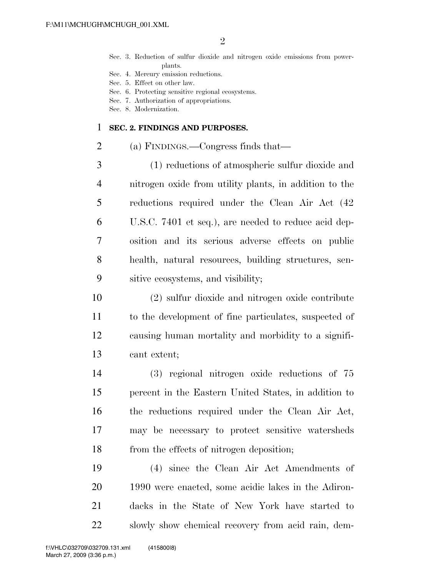- Sec. 3. Reduction of sulfur dioxide and nitrogen oxide emissions from powerplants.
- Sec. 4. Mercury emission reductions.
- Sec. 5. Effect on other law.
- Sec. 6. Protecting sensitive regional ecosystems.
- Sec. 7. Authorization of appropriations.
- Sec. 8. Modernization.

### **SEC. 2. FINDINGS AND PURPOSES.**

(a) FINDINGS.—Congress finds that—

 (1) reductions of atmospheric sulfur dioxide and nitrogen oxide from utility plants, in addition to the reductions required under the Clean Air Act (42 U.S.C. 7401 et seq.), are needed to reduce acid dep- osition and its serious adverse effects on public health, natural resources, building structures, sen-sitive ecosystems, and visibility;

 (2) sulfur dioxide and nitrogen oxide contribute to the development of fine particulates, suspected of causing human mortality and morbidity to a signifi-cant extent;

 (3) regional nitrogen oxide reductions of 75 percent in the Eastern United States, in addition to the reductions required under the Clean Air Act, may be necessary to protect sensitive watersheds from the effects of nitrogen deposition;

 (4) since the Clean Air Act Amendments of 1990 were enacted, some acidic lakes in the Adiron- dacks in the State of New York have started to slowly show chemical recovery from acid rain, dem-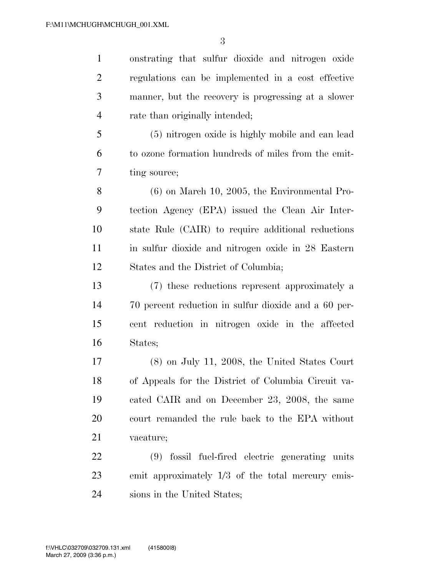onstrating that sulfur dioxide and nitrogen oxide regulations can be implemented in a cost effective manner, but the recovery is progressing at a slower rate than originally intended;

 (5) nitrogen oxide is highly mobile and can lead to ozone formation hundreds of miles from the emit-ting source;

 (6) on March 10, 2005, the Environmental Pro- tection Agency (EPA) issued the Clean Air Inter- state Rule (CAIR) to require additional reductions in sulfur dioxide and nitrogen oxide in 28 Eastern States and the District of Columbia;

 (7) these reductions represent approximately a 70 percent reduction in sulfur dioxide and a 60 per- cent reduction in nitrogen oxide in the affected States;

 (8) on July 11, 2008, the United States Court of Appeals for the District of Columbia Circuit va- cated CAIR and on December 23, 2008, the same court remanded the rule back to the EPA without vacature;

 (9) fossil fuel-fired electric generating units emit approximately 1/3 of the total mercury emis-sions in the United States;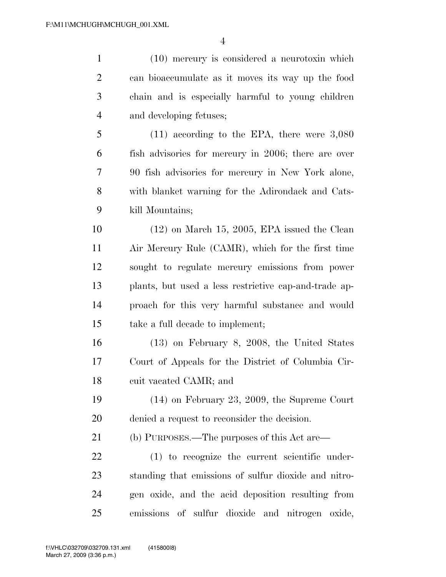(10) mercury is considered a neurotoxin which can bioaccumulate as it moves its way up the food chain and is especially harmful to young children and developing fetuses; (11) according to the EPA, there were 3,080 fish advisories for mercury in 2006; there are over 90 fish advisories for mercury in New York alone, with blanket warning for the Adirondack and Cats- kill Mountains; (12) on March 15, 2005, EPA issued the Clean Air Mercury Rule (CAMR), which for the first time sought to regulate mercury emissions from power plants, but used a less restrictive cap-and-trade ap- proach for this very harmful substance and would take a full decade to implement; (13) on February 8, 2008, the United States Court of Appeals for the District of Columbia Cir- cuit vacated CAMR; and (14) on February 23, 2009, the Supreme Court denied a request to reconsider the decision. (b) PURPOSES.—The purposes of this Act are— (1) to recognize the current scientific under- standing that emissions of sulfur dioxide and nitro- gen oxide, and the acid deposition resulting from emissions of sulfur dioxide and nitrogen oxide,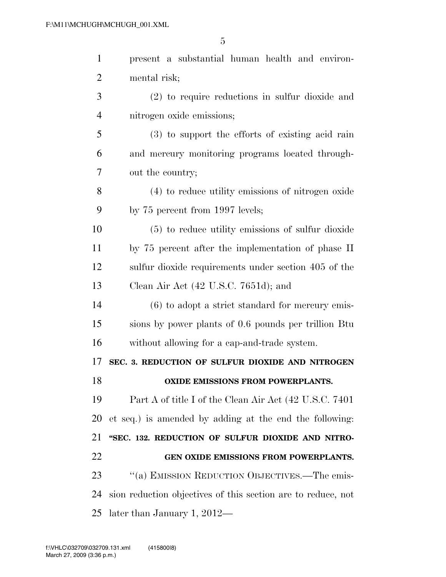| $\mathbf{1}$   | present a substantial human health and environ-              |
|----------------|--------------------------------------------------------------|
| $\overline{2}$ | mental risk;                                                 |
| 3              | $(2)$ to require reductions in sulfur dioxide and            |
| 4              | nitrogen oxide emissions;                                    |
| 5              | (3) to support the efforts of existing acid rain             |
| 6              | and mercury monitoring programs located through-             |
| 7              | out the country;                                             |
| 8              | (4) to reduce utility emissions of nitrogen oxide            |
| 9              | by 75 percent from 1997 levels;                              |
| 10             | (5) to reduce utility emissions of sulfur dioxide            |
| 11             | by 75 percent after the implementation of phase II           |
| 12             | sulfur dioxide requirements under section 405 of the         |
| 13             | Clean Air Act $(42 \text{ U.S.C. } 7651d)$ ; and             |
| 14             | $(6)$ to adopt a strict standard for mercury emis-           |
| 15             | sions by power plants of 0.6 pounds per trillion Btu         |
| 16             | without allowing for a cap-and-trade system.                 |
| 17             | SEC. 3. REDUCTION OF SULFUR DIOXIDE AND NITROGEN             |
| 18             | <b>OXIDE EMISSIONS FROM POWERPLANTS.</b>                     |
| 19             | Part A of title I of the Clean Air Act (42 U.S.C. 7401)      |
| 20             | et seq.) is amended by adding at the end the following:      |
| 21             | "SEC. 132. REDUCTION OF SULFUR DIOXIDE AND NITRO-            |
| 22             | GEN OXIDE EMISSIONS FROM POWERPLANTS.                        |
| 23             | "(a) EMISSION REDUCTION OBJECTIVES.—The emis-                |
| 24             | sion reduction objectives of this section are to reduce, not |
| 25             | later than January 1, $2012-$                                |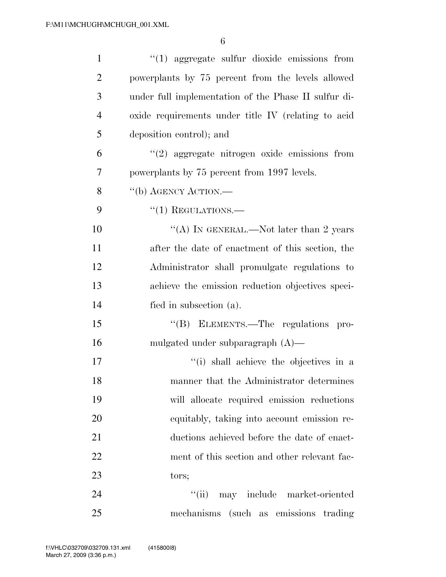| $\mathbf{1}$   | $\lq(1)$ aggregate sulfur dioxide emissions from     |
|----------------|------------------------------------------------------|
| $\overline{2}$ | powerplants by 75 percent from the levels allowed    |
| 3              | under full implementation of the Phase II sulfur di- |
| $\overline{4}$ | oxide requirements under title IV (relating to acid  |
| 5              | deposition control); and                             |
| 6              | $(2)$ aggregate nitrogen oxide emissions from        |
| 7              | powerplants by 75 percent from 1997 levels.          |
| 8              | "(b) AGENCY ACTION.—                                 |
| 9              | $``(1)$ REGULATIONS.—                                |
| 10             | "(A) IN GENERAL.—Not later than 2 years              |
| 11             | after the date of enactment of this section, the     |
| 12             | Administrator shall promulgate regulations to        |
| 13             | achieve the emission reduction objectives speci-     |
| 14             | fied in subsection (a).                              |
| 15             | "(B) ELEMENTS.—The regulations pro-                  |
| 16             | mulgated under subparagraph $(A)$ —                  |
| 17             | "(i) shall achieve the objectives in a               |
| 18             | manner that the Administrator determines             |
| 19             | will allocate required emission reductions           |
| 20             | equitably, taking into account emission re-          |
| 21             | ductions achieved before the date of enact-          |
| 22             | ment of this section and other relevant fac-         |
| 23             | tors;                                                |
| 24             | may include market-oriented<br>``(ii)                |
| 25             | mechanisms (such as emissions trading                |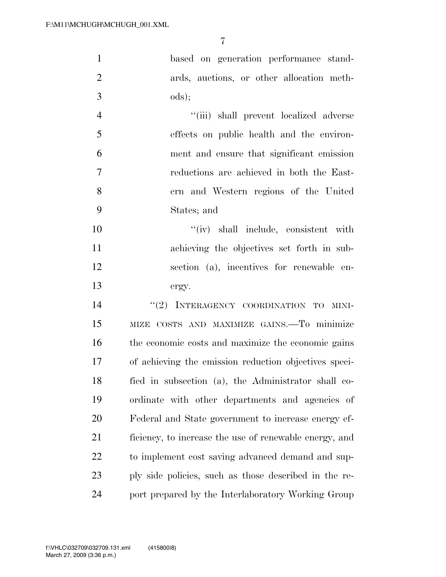based on generation performance stand- ards, auctions, or other allocation meth- $3 \qquad \qquad \text{ods};$ 

 ''(iii) shall prevent localized adverse effects on public health and the environ- ment and ensure that significant emission reductions are achieved in both the East- ern and Western regions of the United States; and

 $''(iv)$  shall include, consistent with achieving the objectives set forth in sub- section (a), incentives for renewable en-ergy.

14 "(2) INTERAGENCY COORDINATION TO MINI- MIZE COSTS AND MAXIMIZE GAINS.—To minimize the economic costs and maximize the economic gains of achieving the emission reduction objectives speci- fied in subsection (a), the Administrator shall co- ordinate with other departments and agencies of Federal and State government to increase energy ef- ficiency, to increase the use of renewable energy, and to implement cost saving advanced demand and sup- ply side policies, such as those described in the re-port prepared by the Interlaboratory Working Group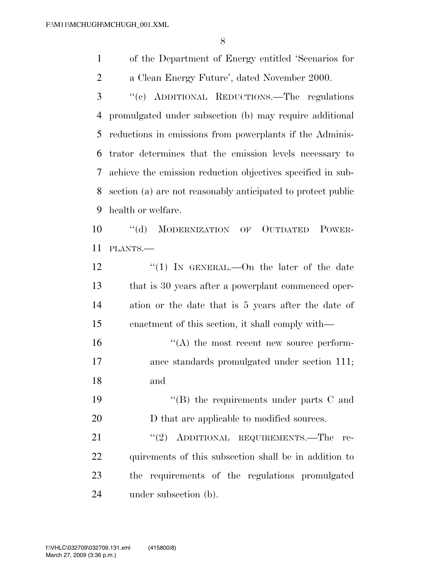of the Department of Energy entitled 'Scenarios for a Clean Energy Future', dated November 2000.

 ''(c) ADDITIONAL REDUCTIONS.—The regulations promulgated under subsection (b) may require additional reductions in emissions from powerplants if the Adminis- trator determines that the emission levels necessary to achieve the emission reduction objectives specified in sub- section (a) are not reasonably anticipated to protect public health or welfare.

10 "(d) MODERNIZATION OF OUTDATED POWER-PLANTS.—

12 "(1) In GENERAL.—On the later of the date that is 30 years after a powerplant commenced oper- ation or the date that is 5 years after the date of enactment of this section, it shall comply with—

 ''(A) the most recent new source perform- ance standards promulgated under section 111; and

19 ''(B) the requirements under parts C and 20 D that are applicable to modified sources.

21 "(2) ADDITIONAL REQUIREMENTS.—The re- quirements of this subsection shall be in addition to the requirements of the regulations promulgated under subsection (b).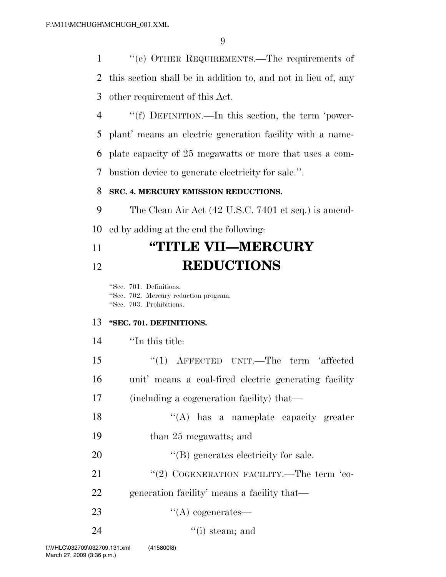''(e) OTHER REQUIREMENTS.—The requirements of this section shall be in addition to, and not in lieu of, any other requirement of this Act.

 ''(f) DEFINITION.—In this section, the term 'power- plant' means an electric generation facility with a name- plate capacity of 25 megawatts or more that uses a com-bustion device to generate electricity for sale.''.

### **SEC. 4. MERCURY EMISSION REDUCTIONS.**

 The Clean Air Act (42 U.S.C. 7401 et seq.) is amend-ed by adding at the end the following:

## **''TITLE VII—MERCURY REDUCTIONS**

''Sec. 701. Definitions. ''Sec. 702. Mercury reduction program. ''Sec. 703. Prohibitions.

### **''SEC. 701. DEFINITIONS.**

 ''(1) AFFECTED UNIT.—The term 'affected unit' means a coal-fired electric generating facility (including a cogeneration facility) that— ''(A) has a nameplate capacity greater than 25 megawatts; and  $'(B)$  generates electricity for sale. 21 ''(2) COGENERATION FACILITY.—The term 'co- generation facility' means a facility that— 23 "(A) cogenerates—  $\qquad$  (i) steam; and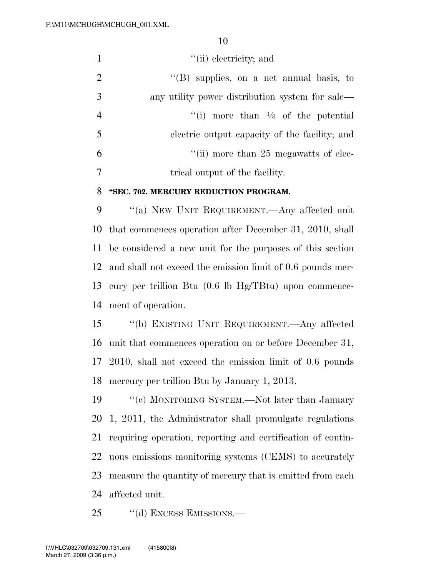|                | $\lq\lq$ (ii) electricity; and                   |
|----------------|--------------------------------------------------|
| 2              | $\lq\lq$ (B) supplies, on a net annual basis, to |
| $\overline{3}$ | any utility power distribution system for sale—  |
| $\overline{4}$ | "(i) more than $\frac{1}{3}$ of the potential    |
| -5             | electric output capacity of the facility; and    |
| 6              | "(ii) more than 25 megawatts of elec-            |
|                | trical output of the facility.                   |

### **''SEC. 702. MERCURY REDUCTION PROGRAM.**

 ''(a) NEW UNIT REQUIREMENT.—Any affected unit that commences operation after December 31, 2010, shall be considered a new unit for the purposes of this section and shall not exceed the emission limit of 0.6 pounds mer- cury per trillion Btu (0.6 lb Hg/TBtu) upon commence-ment of operation.

 ''(b) EXISTING UNIT REQUIREMENT.—Any affected unit that commences operation on or before December 31, 2010, shall not exceed the emission limit of 0.6 pounds mercury per trillion Btu by January 1, 2013.

 ''(c) MONITORING SYSTEM.—Not later than January 1, 2011, the Administrator shall promulgate regulations requiring operation, reporting and certification of contin- uous emissions monitoring systems (CEMS) to accurately measure the quantity of mercury that is emitted from each affected unit.

25 "(d) EXCESS EMISSIONS.—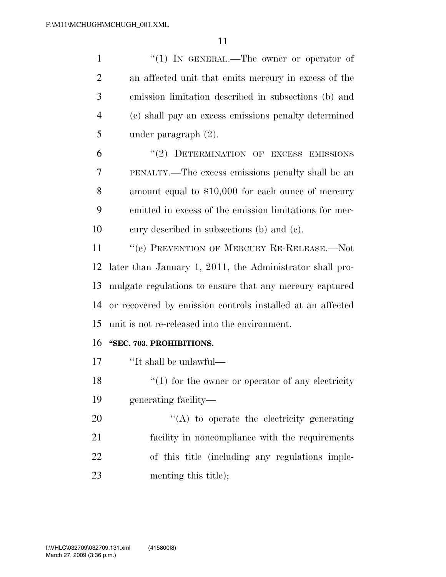|                | $\lq(1)$ In GENERAL.—The owner or operator of        |
|----------------|------------------------------------------------------|
| 2              | an affected unit that emits mercury in excess of the |
| 3              | emission limitation described in subsections (b) and |
| $\overline{4}$ | (c) shall pay an excess emissions penalty determined |
| 5              | under paragraph $(2)$ .                              |

6 "(2) DETERMINATION OF EXCESS EMISSIONS PENALTY.—The excess emissions penalty shall be an amount equal to \$10,000 for each ounce of mercury emitted in excess of the emission limitations for mer-cury described in subsections (b) and (c).

11 "(e) PREVENTION OF MERCURY RE-RELEASE.—Not later than January 1, 2011, the Administrator shall pro- mulgate regulations to ensure that any mercury captured or recovered by emission controls installed at an affected unit is not re-released into the environment.

### **''SEC. 703. PROHIBITIONS.**

''It shall be unlawful—

18  $\frac{1}{2}$  (1) for the owner or operator of any electricity generating facility—

 $\langle (A)$  to operate the electricity generating facility in noncompliance with the requirements of this title (including any regulations imple-23 menting this title);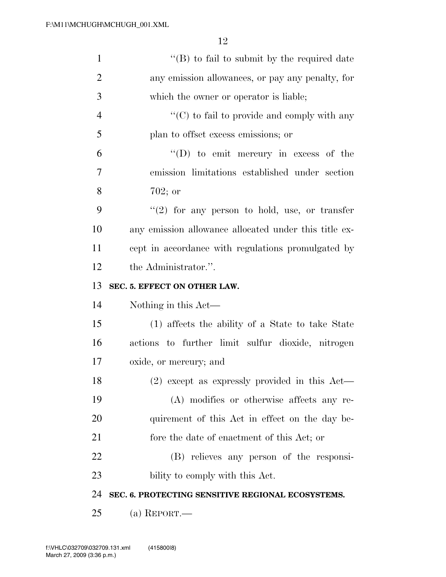| $\mathbf{1}$   | $\lq\lq (B)$ to fail to submit by the required date   |
|----------------|-------------------------------------------------------|
| $\overline{2}$ | any emission allowances, or pay any penalty, for      |
| 3              | which the owner or operator is liable;                |
| $\overline{4}$ | "(C) to fail to provide and comply with any           |
| 5              | plan to offset excess emissions; or                   |
| 6              | $\lq\lq$ (D) to emit mercury in excess of the         |
| $\overline{7}$ | emission limitations established under section        |
| 8              | $702;$ or                                             |
| 9              | $\lq(2)$ for any person to hold, use, or transfer     |
| 10             | any emission allowance allocated under this title ex- |
| 11             | cept in accordance with regulations promulgated by    |
| 12             | the Administrator.".                                  |
| 13             | SEC. 5. EFFECT ON OTHER LAW.                          |
| 14             | Nothing in this Act—                                  |
| 15             | (1) affects the ability of a State to take State      |
| 16             | actions to further limit sulfur dioxide, nitrogen     |
| 17             | oxide, or mercury; and                                |
| 18             | $(2)$ except as expressly provided in this Act—       |
| 19             | (A) modifies or otherwise affects any re-             |
| 20             | quirement of this Act in effect on the day be-        |
| 21             | fore the date of enactment of this Act; or            |
| 22             | (B) relieves any person of the responsi-              |
| 23             | bility to comply with this Act.                       |
| 24             | SEC. 6. PROTECTING SENSITIVE REGIONAL ECOSYSTEMS.     |
| 25             |                                                       |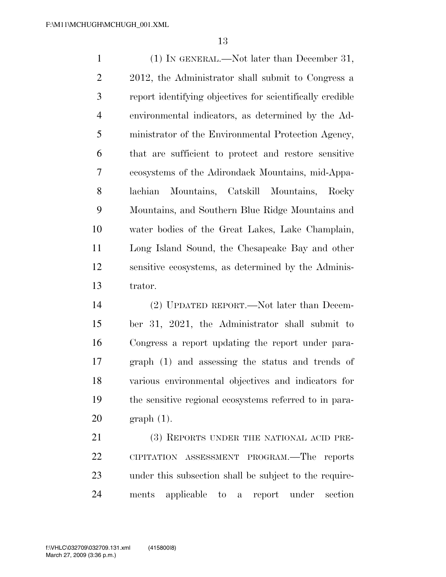(1) IN GENERAL.—Not later than December 31, 2012, the Administrator shall submit to Congress a report identifying objectives for scientifically credible environmental indicators, as determined by the Ad- ministrator of the Environmental Protection Agency, that are sufficient to protect and restore sensitive ecosystems of the Adirondack Mountains, mid-Appa- lachian Mountains, Catskill Mountains, Rocky Mountains, and Southern Blue Ridge Mountains and water bodies of the Great Lakes, Lake Champlain, Long Island Sound, the Chesapeake Bay and other sensitive ecosystems, as determined by the Adminis-trator.

 (2) UPDATED REPORT.—Not later than Decem- ber 31, 2021, the Administrator shall submit to Congress a report updating the report under para- graph (1) and assessing the status and trends of various environmental objectives and indicators for the sensitive regional ecosystems referred to in para-graph (1).

21 (3) REPORTS UNDER THE NATIONAL ACID PRE- CIPITATION ASSESSMENT PROGRAM.—The reports under this subsection shall be subject to the require-ments applicable to a report under section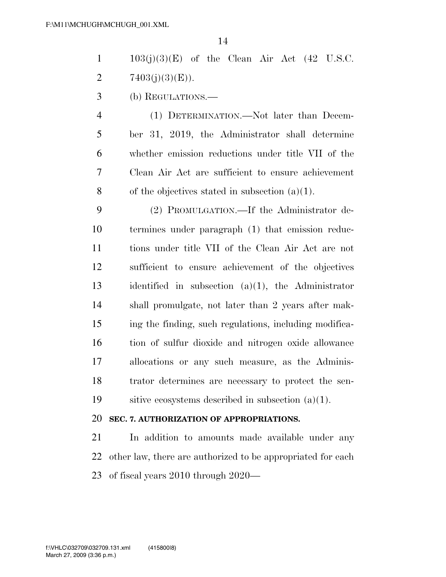$1 \qquad 103(i)(3)(E)$  of the Clean Air Act (42 U.S.C. 2  $7403(i)(3)(E)$ .

(b) REGULATIONS.—

 (1) DETERMINATION.—Not later than Decem- ber 31, 2019, the Administrator shall determine whether emission reductions under title VII of the Clean Air Act are sufficient to ensure achievement 8 of the objectives stated in subsection  $(a)(1)$ .

 (2) PROMULGATION.—If the Administrator de- termines under paragraph (1) that emission reduc- tions under title VII of the Clean Air Act are not sufficient to ensure achievement of the objectives identified in subsection (a)(1), the Administrator shall promulgate, not later than 2 years after mak- ing the finding, such regulations, including modifica- tion of sulfur dioxide and nitrogen oxide allowance allocations or any such measure, as the Adminis- trator determines are necessary to protect the sen-sitive ecosystems described in subsection (a)(1).

### **SEC. 7. AUTHORIZATION OF APPROPRIATIONS.**

 In addition to amounts made available under any other law, there are authorized to be appropriated for each of fiscal years 2010 through 2020—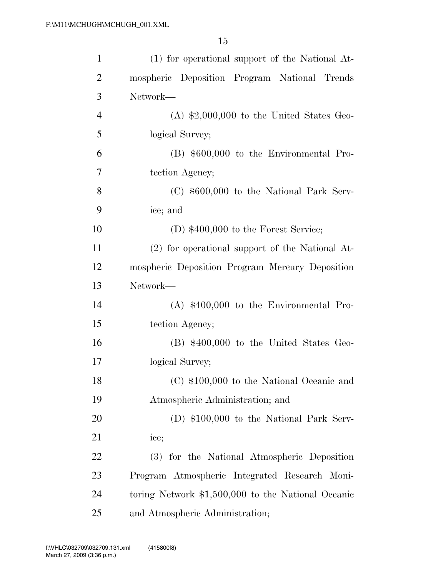| $\mathbf{1}$   | (1) for operational support of the National At-    |
|----------------|----------------------------------------------------|
| $\overline{2}$ | mospheric Deposition Program National Trends       |
| 3              | Network-                                           |
| $\overline{4}$ | $(A)$ \$2,000,000 to the United States Geo-        |
| 5              | logical Survey;                                    |
| 6              | $(B)$ \$600,000 to the Environmental Pro-          |
| 7              | tection Agency;                                    |
| 8              | $(C)$ \$600,000 to the National Park Serv-         |
| 9              | ice; and                                           |
| 10             | $(D)$ \$400,000 to the Forest Service;             |
| 11             | (2) for operational support of the National At-    |
| 12             | mospheric Deposition Program Mercury Deposition    |
| 13             | Network-                                           |
| 14             | $(A)$ \$400,000 to the Environmental Pro-          |
| 15             | tection Agency;                                    |
| 16             | $(B)$ \$400,000 to the United States Geo-          |
| 17             | logical Survey;                                    |
| 18             | (C) \$100,000 to the National Oceanic and          |
| 19             | Atmospheric Administration; and                    |
| 20             | (D) $$100,000$ to the National Park Serv-          |
| 21             | ice;                                               |
| 22             | (3) for the National Atmospheric Deposition        |
| 23             | Program Atmospheric Integrated Research Moni-      |
| 24             | toring Network \$1,500,000 to the National Oceanic |
| 25             | and Atmospheric Administration;                    |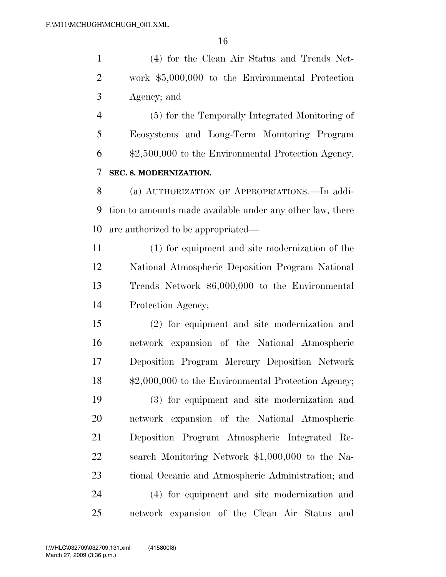(4) for the Clean Air Status and Trends Net- work \$5,000,000 to the Environmental Protection Agency; and

 (5) for the Temporally Integrated Monitoring of Ecosystems and Long-Term Monitoring Program \$2,500,000 to the Environmental Protection Agency. **SEC. 8. MODERNIZATION.** 

 (a) AUTHORIZATION OF APPROPRIATIONS.—In addi- tion to amounts made available under any other law, there are authorized to be appropriated—

 (1) for equipment and site modernization of the National Atmospheric Deposition Program National Trends Network \$6,000,000 to the Environmental Protection Agency;

 (2) for equipment and site modernization and network expansion of the National Atmospheric Deposition Program Mercury Deposition Network \$2,000,000 to the Environmental Protection Agency;

 (3) for equipment and site modernization and network expansion of the National Atmospheric Deposition Program Atmospheric Integrated Re- search Monitoring Network \$1,000,000 to the Na- tional Oceanic and Atmospheric Administration; and (4) for equipment and site modernization and network expansion of the Clean Air Status and